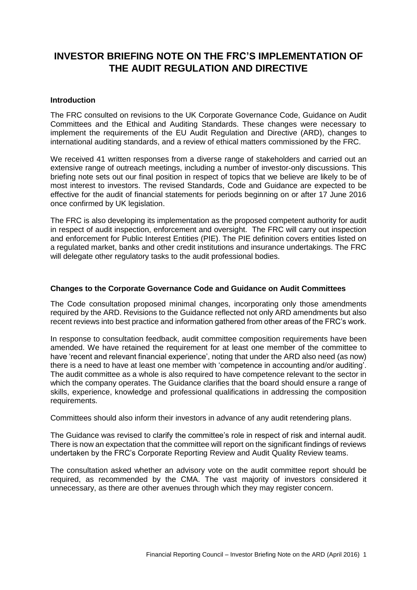# **INVESTOR BRIEFING NOTE ON THE FRC'S IMPLEMENTATION OF THE AUDIT REGULATION AND DIRECTIVE**

## **Introduction**

The FRC consulted on revisions to the UK Corporate Governance Code, Guidance on Audit Committees and the Ethical and Auditing Standards. These changes were necessary to implement the requirements of the EU Audit Regulation and Directive (ARD), changes to international auditing standards, and a review of ethical matters commissioned by the FRC.

We received 41 written responses from a diverse range of stakeholders and carried out an extensive range of outreach meetings, including a number of investor-only discussions. This briefing note sets out our final position in respect of topics that we believe are likely to be of most interest to investors. The revised Standards, Code and Guidance are expected to be effective for the audit of financial statements for periods beginning on or after 17 June 2016 once confirmed by UK legislation.

The FRC is also developing its implementation as the proposed competent authority for audit in respect of audit inspection, enforcement and oversight. The FRC will carry out inspection and enforcement for Public Interest Entities (PIE). The PIE definition covers entities listed on a regulated market, banks and other credit institutions and insurance undertakings. The FRC will delegate other regulatory tasks to the audit professional bodies.

## **Changes to the Corporate Governance Code and Guidance on Audit Committees**

The Code consultation proposed minimal changes, incorporating only those amendments required by the ARD. Revisions to the Guidance reflected not only ARD amendments but also recent reviews into best practice and information gathered from other areas of the FRC's work.

In response to consultation feedback, audit committee composition requirements have been amended. We have retained the requirement for at least one member of the committee to have 'recent and relevant financial experience', noting that under the ARD also need (as now) there is a need to have at least one member with 'competence in accounting and/or auditing'. The audit committee as a whole is also required to have competence relevant to the sector in which the company operates. The Guidance clarifies that the board should ensure a range of skills, experience, knowledge and professional qualifications in addressing the composition requirements.

Committees should also inform their investors in advance of any audit retendering plans.

The Guidance was revised to clarify the committee's role in respect of risk and internal audit. There is now an expectation that the committee will report on the significant findings of reviews undertaken by the FRC's Corporate Reporting Review and Audit Quality Review teams.

The consultation asked whether an advisory vote on the audit committee report should be required, as recommended by the CMA. The vast majority of investors considered it unnecessary, as there are other avenues through which they may register concern.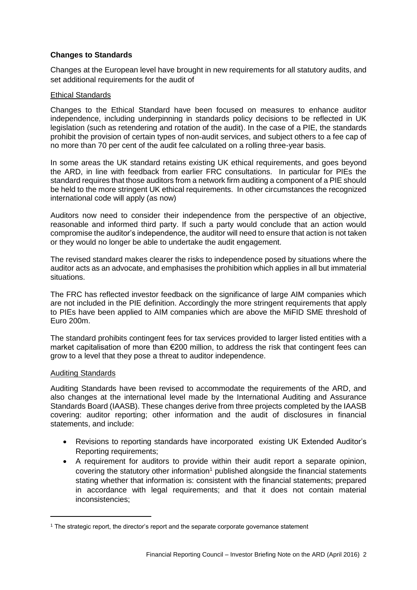## **Changes to Standards**

Changes at the European level have brought in new requirements for all statutory audits, and set additional requirements for the audit of

## Ethical Standards

Changes to the Ethical Standard have been focused on measures to enhance auditor independence, including underpinning in standards policy decisions to be reflected in UK legislation (such as retendering and rotation of the audit). In the case of a PIE, the standards prohibit the provision of certain types of non-audit services, and subject others to a fee cap of no more than 70 per cent of the audit fee calculated on a rolling three-year basis.

In some areas the UK standard retains existing UK ethical requirements, and goes beyond the ARD, in line with feedback from earlier FRC consultations. In particular for PIEs the standard requires that those auditors from a network firm auditing a component of a PIE should be held to the more stringent UK ethical requirements. In other circumstances the recognized international code will apply (as now)

Auditors now need to consider their independence from the perspective of an objective, reasonable and informed third party. If such a party would conclude that an action would compromise the auditor's independence, the auditor will need to ensure that action is not taken or they would no longer be able to undertake the audit engagement.

The revised standard makes clearer the risks to independence posed by situations where the auditor acts as an advocate, and emphasises the prohibition which applies in all but immaterial situations.

The FRC has reflected investor feedback on the significance of large AIM companies which are not included in the PIE definition. Accordingly the more stringent requirements that apply to PIEs have been applied to AIM companies which are above the MiFID SME threshold of Euro 200m.

The standard prohibits contingent fees for tax services provided to larger listed entities with a market capitalisation of more than €200 million, to address the risk that contingent fees can grow to a level that they pose a threat to auditor independence.

#### Auditing Standards

-

Auditing Standards have been revised to accommodate the requirements of the ARD, and also changes at the international level made by the International Auditing and Assurance Standards Board (IAASB). These changes derive from three projects completed by the IAASB covering: auditor reporting; other information and the audit of disclosures in financial statements, and include:

- Revisions to reporting standards have incorporated existing UK Extended Auditor's Reporting requirements;
- A requirement for auditors to provide within their audit report a separate opinion, covering the statutory other information<sup>1</sup> published alongside the financial statements stating whether that information is: consistent with the financial statements; prepared in accordance with legal requirements; and that it does not contain material inconsistencies;

<sup>1</sup> The strategic report, the director's report and the separate corporate governance statement